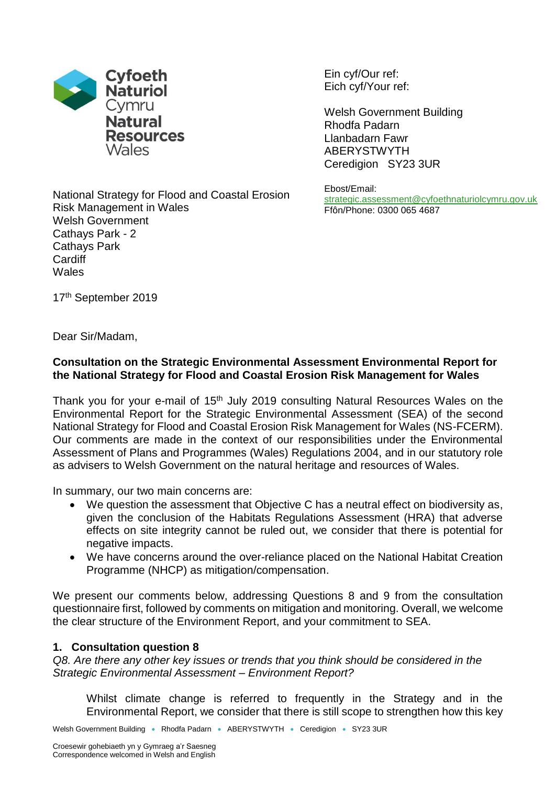

Ein cyf/Our ref: Eich cyf/Your ref:

Welsh Government Building Rhodfa Padarn Llanbadarn Fawr ABERYSTWYTH Ceredigion SY23 3UR

Ebost/Email: [strategic.assessment@cyfoethnaturiolcymru.gov.uk](mailto:strategic.assessment@cyfoethnaturiolcymru.gov.uk) Ffôn/Phone: 0300 065 4687

National Strategy for Flood and Coastal Erosion Risk Management in Wales Welsh Government Cathays Park - 2 Cathays Park **Cardiff** Wales

17<sup>th</sup> September 2019

Dear Sir/Madam,

# **Consultation on the Strategic Environmental Assessment Environmental Report for the National Strategy for Flood and Coastal Erosion Risk Management for Wales**

Thank you for your e-mail of 15<sup>th</sup> July 2019 consulting Natural Resources Wales on the Environmental Report for the Strategic Environmental Assessment (SEA) of the second National Strategy for Flood and Coastal Erosion Risk Management for Wales (NS-FCERM). Our comments are made in the context of our responsibilities under the Environmental Assessment of Plans and Programmes (Wales) Regulations 2004, and in our statutory role as advisers to Welsh Government on the natural heritage and resources of Wales.

In summary, our two main concerns are:

- We question the assessment that Objective C has a neutral effect on biodiversity as, given the conclusion of the Habitats Regulations Assessment (HRA) that adverse effects on site integrity cannot be ruled out, we consider that there is potential for negative impacts.
- We have concerns around the over-reliance placed on the National Habitat Creation Programme (NHCP) as mitigation/compensation.

We present our comments below, addressing Questions 8 and 9 from the consultation questionnaire first, followed by comments on mitigation and monitoring. Overall, we welcome the clear structure of the Environment Report, and your commitment to SEA.

# **1. Consultation question 8**

*Q8. Are there any other key issues or trends that you think should be considered in the Strategic Environmental Assessment – Environment Report?* 

Whilst climate change is referred to frequently in the Strategy and in the Environmental Report, we consider that there is still scope to strengthen how this key

Welsh Government Building • Rhodfa Padarn • ABERYSTWYTH • Ceredigion • SY23 3UR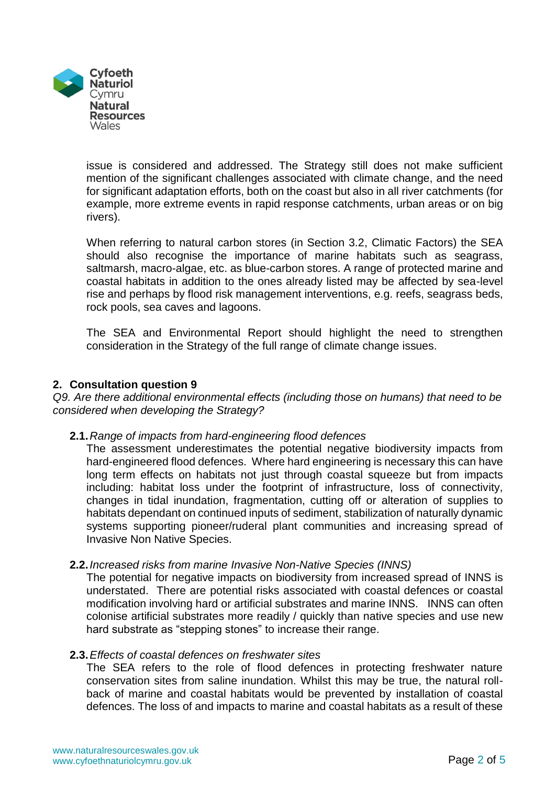

issue is considered and addressed. The Strategy still does not make sufficient mention of the significant challenges associated with climate change, and the need for significant adaptation efforts, both on the coast but also in all river catchments (for example, more extreme events in rapid response catchments, urban areas or on big rivers).

When referring to natural carbon stores (in Section 3.2, Climatic Factors) the SEA should also recognise the importance of marine habitats such as seagrass, saltmarsh, macro-algae, etc. as blue-carbon stores. A range of protected marine and coastal habitats in addition to the ones already listed may be affected by sea-level rise and perhaps by flood risk management interventions, e.g. reefs, seagrass beds, rock pools, sea caves and lagoons.

The SEA and Environmental Report should highlight the need to strengthen consideration in the Strategy of the full range of climate change issues.

## **2. Consultation question 9**

*Q9. Are there additional environmental effects (including those on humans) that need to be considered when developing the Strategy?* 

## **2.1.***Range of impacts from hard-engineering flood defences*

The assessment underestimates the potential negative biodiversity impacts from hard-engineered flood defences. Where hard engineering is necessary this can have long term effects on habitats not just through coastal squeeze but from impacts including: habitat loss under the footprint of infrastructure, loss of connectivity, changes in tidal inundation, fragmentation, cutting off or alteration of supplies to habitats dependant on continued inputs of sediment, stabilization of naturally dynamic systems supporting pioneer/ruderal plant communities and increasing spread of Invasive Non Native Species.

#### **2.2.***Increased risks from marine Invasive Non-Native Species (INNS)*

The potential for negative impacts on biodiversity from increased spread of INNS is understated. There are potential risks associated with coastal defences or coastal modification involving hard or artificial substrates and marine INNS. INNS can often colonise artificial substrates more readily / quickly than native species and use new hard substrate as "stepping stones" to increase their range.

#### **2.3.***Effects of coastal defences on freshwater sites*

The SEA refers to the role of flood defences in protecting freshwater nature conservation sites from saline inundation. Whilst this may be true, the natural rollback of marine and coastal habitats would be prevented by installation of coastal defences. The loss of and impacts to marine and coastal habitats as a result of these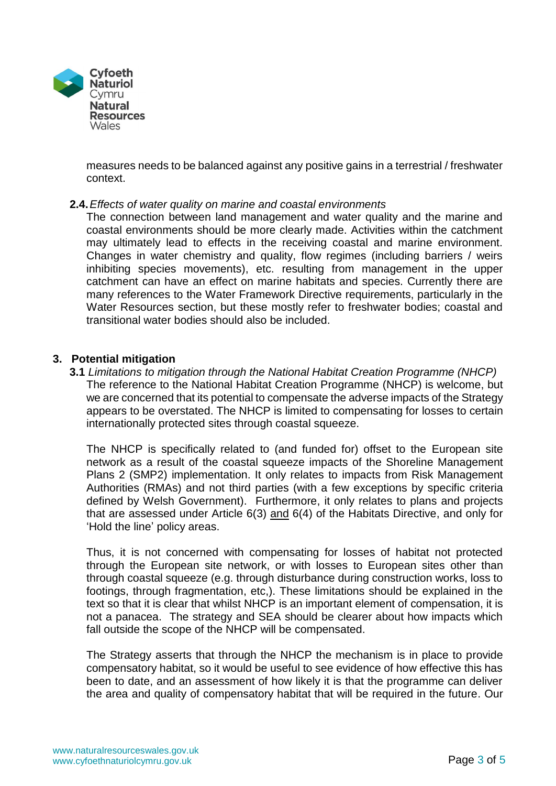

measures needs to be balanced against any positive gains in a terrestrial / freshwater context.

### **2.4.***Effects of water quality on marine and coastal environments*

The connection between land management and water quality and the marine and coastal environments should be more clearly made. Activities within the catchment may ultimately lead to effects in the receiving coastal and marine environment. Changes in water chemistry and quality, flow regimes (including barriers / weirs inhibiting species movements), etc. resulting from management in the upper catchment can have an effect on marine habitats and species. Currently there are many references to the Water Framework Directive requirements, particularly in the Water Resources section, but these mostly refer to freshwater bodies; coastal and transitional water bodies should also be included.

### **3. Potential mitigation**

**3.1** *Limitations to mitigation through the National Habitat Creation Programme (NHCP)* The reference to the National Habitat Creation Programme (NHCP) is welcome, but we are concerned that its potential to compensate the adverse impacts of the Strategy appears to be overstated. The NHCP is limited to compensating for losses to certain internationally protected sites through coastal squeeze.

The NHCP is specifically related to (and funded for) offset to the European site network as a result of the coastal squeeze impacts of the Shoreline Management Plans 2 (SMP2) implementation. It only relates to impacts from Risk Management Authorities (RMAs) and not third parties (with a few exceptions by specific criteria defined by Welsh Government). Furthermore, it only relates to plans and projects that are assessed under Article 6(3) and 6(4) of the Habitats Directive, and only for 'Hold the line' policy areas.

Thus, it is not concerned with compensating for losses of habitat not protected through the European site network, or with losses to European sites other than through coastal squeeze (e.g. through disturbance during construction works, loss to footings, through fragmentation, etc,). These limitations should be explained in the text so that it is clear that whilst NHCP is an important element of compensation, it is not a panacea. The strategy and SEA should be clearer about how impacts which fall outside the scope of the NHCP will be compensated.

The Strategy asserts that through the NHCP the mechanism is in place to provide compensatory habitat, so it would be useful to see evidence of how effective this has been to date, and an assessment of how likely it is that the programme can deliver the area and quality of compensatory habitat that will be required in the future. Our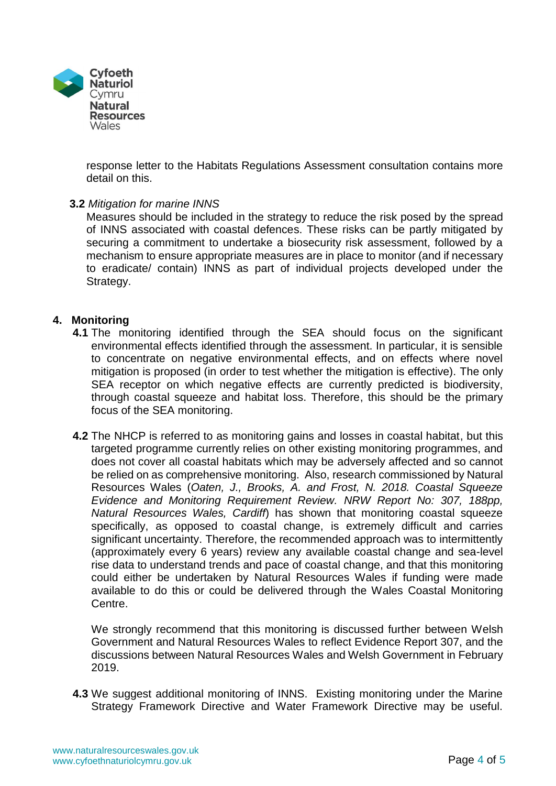

response letter to the Habitats Regulations Assessment consultation contains more detail on this.

### **3.2** *Mitigation for marine INNS*

Measures should be included in the strategy to reduce the risk posed by the spread of INNS associated with coastal defences. These risks can be partly mitigated by securing a commitment to undertake a biosecurity risk assessment, followed by a mechanism to ensure appropriate measures are in place to monitor (and if necessary to eradicate/ contain) INNS as part of individual projects developed under the Strategy.

### **4. Monitoring**

- **4.1** The monitoring identified through the SEA should focus on the significant environmental effects identified through the assessment. In particular, it is sensible to concentrate on negative environmental effects, and on effects where novel mitigation is proposed (in order to test whether the mitigation is effective). The only SEA receptor on which negative effects are currently predicted is biodiversity, through coastal squeeze and habitat loss. Therefore, this should be the primary focus of the SEA monitoring.
- **4.2** The NHCP is referred to as monitoring gains and losses in coastal habitat, but this targeted programme currently relies on other existing monitoring programmes, and does not cover all coastal habitats which may be adversely affected and so cannot be relied on as comprehensive monitoring. Also, research commissioned by Natural Resources Wales (*Oaten, J., Brooks, A. and Frost, N. 2018. Coastal Squeeze Evidence and Monitoring Requirement Review. NRW Report No: 307, 188pp, Natural Resources Wales, Cardiff*) has shown that monitoring coastal squeeze specifically, as opposed to coastal change, is extremely difficult and carries significant uncertainty. Therefore, the recommended approach was to intermittently (approximately every 6 years) review any available coastal change and sea-level rise data to understand trends and pace of coastal change, and that this monitoring could either be undertaken by Natural Resources Wales if funding were made available to do this or could be delivered through the Wales Coastal Monitoring Centre.

We strongly recommend that this monitoring is discussed further between Welsh Government and Natural Resources Wales to reflect Evidence Report 307, and the discussions between Natural Resources Wales and Welsh Government in February 2019.

**4.3** We suggest additional monitoring of INNS. Existing monitoring under the Marine Strategy Framework Directive and Water Framework Directive may be useful.